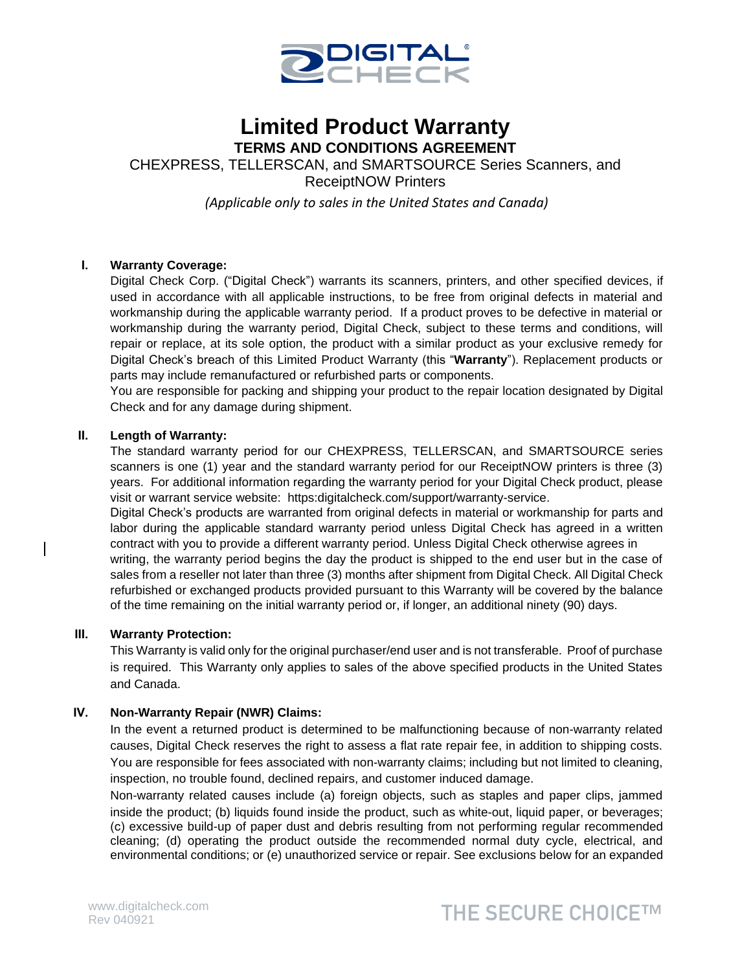

# **Limited Product Warranty TERMS AND CONDITIONS AGREEMENT**

CHEXPRESS, TELLERSCAN, and SMARTSOURCE Series Scanners, and ReceiptNOW Printers

*(Applicable only to sales in the United States and Canada)*

## **I. Warranty Coverage:**

Digital Check Corp. ("Digital Check") warrants its scanners, printers, and other specified devices, if used in accordance with all applicable instructions, to be free from original defects in material and workmanship during the applicable warranty period. If a product proves to be defective in material or workmanship during the warranty period, Digital Check, subject to these terms and conditions, will repair or replace, at its sole option, the product with a similar product as your exclusive remedy for Digital Check's breach of this Limited Product Warranty (this "**Warranty**"). Replacement products or parts may include remanufactured or refurbished parts or components.

You are responsible for packing and shipping your product to the repair location designated by Digital Check and for any damage during shipment.

#### **II. Length of Warranty:**

The standard warranty period for our CHEXPRESS, TELLERSCAN, and SMARTSOURCE series scanners is one (1) year and the standard warranty period for our ReceiptNOW printers is three (3) years. For additional information regarding the warranty period for your Digital Check product, please visit or warrant service website: https:digitalcheck.com/support/warranty-service.

Digital Check's products are warranted from original defects in material or workmanship for parts and labor during the applicable standard warranty period unless Digital Check has agreed in a written contract with you to provide a different warranty period. Unless Digital Check otherwise agrees in

writing, the warranty period begins the day the product is shipped to the end user but in the case of sales from a reseller not later than three (3) months after shipment from Digital Check. All Digital Check refurbished or exchanged products provided pursuant to this Warranty will be covered by the balance of the time remaining on the initial warranty period or, if longer, an additional ninety (90) days.

#### **III. Warranty Protection:**

This Warranty is valid only for the original purchaser/end user and is not transferable. Proof of purchase is required. This Warranty only applies to sales of the above specified products in the United States and Canada.

#### **IV. Non-Warranty Repair (NWR) Claims:**

In the event a returned product is determined to be malfunctioning because of non-warranty related causes, Digital Check reserves the right to assess a flat rate repair fee, in addition to shipping costs. You are responsible for fees associated with non-warranty claims; including but not limited to cleaning, inspection, no trouble found, declined repairs, and customer induced damage.

Non-warranty related causes include (a) foreign objects, such as staples and paper clips, jammed inside the product; (b) liquids found inside the product, such as white-out, liquid paper, or beverages; (c) excessive build-up of paper dust and debris resulting from not performing regular recommended cleaning; (d) operating the product outside the recommended normal duty cycle, electrical, and environmental conditions; or (e) unauthorized service or repair. See exclusions below for an expanded

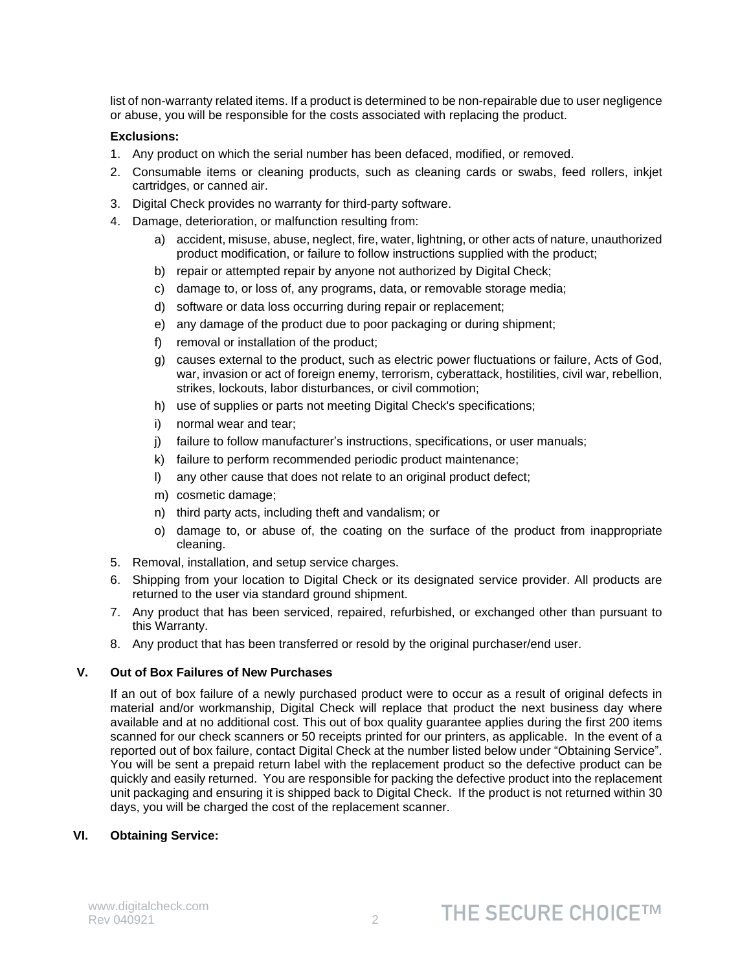list of non-warranty related items. If a product is determined to be non-repairable due to user negligence or abuse, you will be responsible for the costs associated with replacing the product.

#### **Exclusions:**

- 1. Any product on which the serial number has been defaced, modified, or removed.
- 2. Consumable items or cleaning products, such as cleaning cards or swabs, feed rollers, inkjet cartridges, or canned air.
- 3. Digital Check provides no warranty for third-party software.
- 4. Damage, deterioration, or malfunction resulting from:
	- a) accident, misuse, abuse, neglect, fire, water, lightning, or other acts of nature, unauthorized product modification, or failure to follow instructions supplied with the product;
	- b) repair or attempted repair by anyone not authorized by Digital Check;
	- c) damage to, or loss of, any programs, data, or removable storage media;
	- d) software or data loss occurring during repair or replacement;
	- e) any damage of the product due to poor packaging or during shipment;
	- f) removal or installation of the product;
	- g) causes external to the product, such as electric power fluctuations or failure, Acts of God, war, invasion or act of foreign enemy, terrorism, cyberattack, hostilities, civil war, rebellion, strikes, lockouts, labor disturbances, or civil commotion;
	- h) use of supplies or parts not meeting Digital Check's specifications;
	- i) normal wear and tear;
	- j) failure to follow manufacturer's instructions, specifications, or user manuals;
	- k) failure to perform recommended periodic product maintenance;
	- l) any other cause that does not relate to an original product defect;
	- m) cosmetic damage;
	- n) third party acts, including theft and vandalism; or
	- o) damage to, or abuse of, the coating on the surface of the product from inappropriate cleaning.
- 5. Removal, installation, and setup service charges.
- 6. Shipping from your location to Digital Check or its designated service provider. All products are returned to the user via standard ground shipment.
- 7. Any product that has been serviced, repaired, refurbished, or exchanged other than pursuant to this Warranty.
- 8. Any product that has been transferred or resold by the original purchaser/end user.

# **V. Out of Box Failures of New Purchases**

If an out of box failure of a newly purchased product were to occur as a result of original defects in material and/or workmanship, Digital Check will replace that product the next business day where available and at no additional cost. This out of box quality guarantee applies during the first 200 items scanned for our check scanners or 50 receipts printed for our printers, as applicable. In the event of a reported out of box failure, contact Digital Check at the number listed below under "Obtaining Service". You will be sent a prepaid return label with the replacement product so the defective product can be quickly and easily returned. You are responsible for packing the defective product into the replacement unit packaging and ensuring it is shipped back to Digital Check. If the product is not returned within 30 days, you will be charged the cost of the replacement scanner.

# **VI. Obtaining Service:**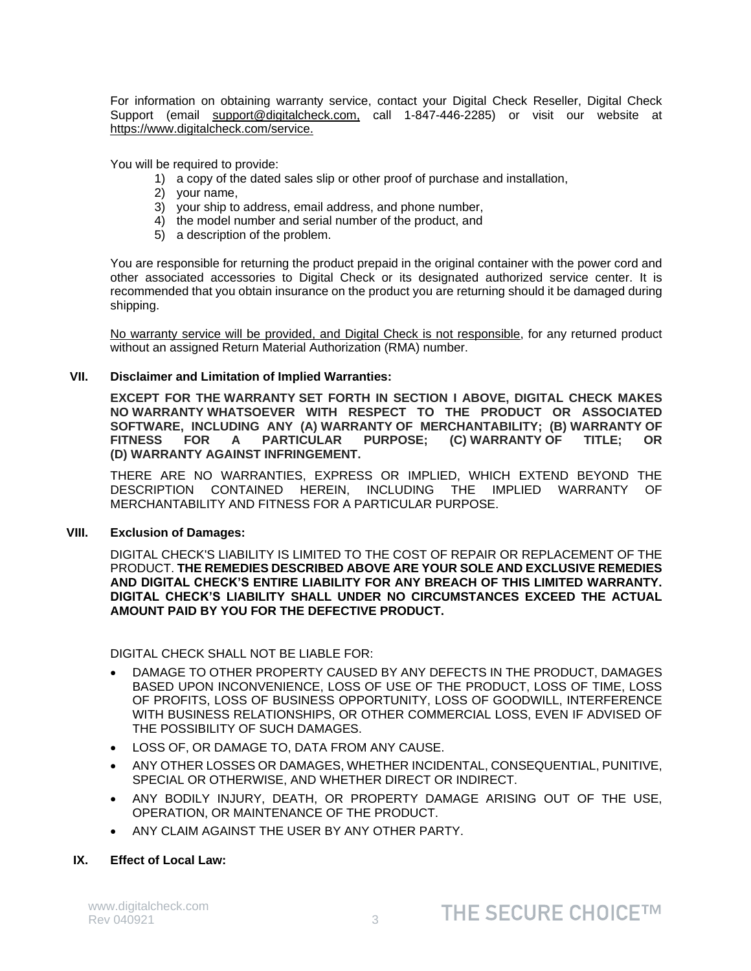For information on obtaining warranty service, contact your Digital Check Reseller, Digital Check Support (email [support@digitalcheck.com,](mailto:support@digitalcheck.com) call 1-847-446-2285) or visit our website at [https://www.digitalcheck.com/service.](https://www.digitalcheck.com/clientarea)

You will be required to provide:

- 1) a copy of the dated sales slip or other proof of purchase and installation,
- 2) your name,
- 3) your ship to address, email address, and phone number,
- 4) the model number and serial number of the product, and
- 5) a description of the problem.

You are responsible for returning the product prepaid in the original container with the power cord and other associated accessories to Digital Check or its designated authorized service center. It is recommended that you obtain insurance on the product you are returning should it be damaged during shipping.

No warranty service will be provided, and Digital Check is not responsible, for any returned product without an assigned Return Material Authorization (RMA) number.

## **VII. Disclaimer and Limitation of Implied Warranties:**

**EXCEPT FOR THE WARRANTY SET FORTH IN SECTION I ABOVE, DIGITAL CHECK MAKES NO WARRANTY WHATSOEVER WITH RESPECT TO THE PRODUCT OR ASSOCIATED SOFTWARE, INCLUDING ANY (A) WARRANTY OF MERCHANTABILITY; (B) WARRANTY OF FITNESS FOR A PARTICULAR PURPOSE; (C) WARRANTY OF TITLE; OR (D) WARRANTY AGAINST INFRINGEMENT.**

THERE ARE NO WARRANTIES, EXPRESS OR IMPLIED, WHICH EXTEND BEYOND THE DESCRIPTION CONTAINED HEREIN, INCLUDING THE IMPLIED WARRANTY OF MERCHANTABILITY AND FITNESS FOR A PARTICULAR PURPOSE.

# **VIII. Exclusion of Damages:**

DIGITAL CHECK'S LIABILITY IS LIMITED TO THE COST OF REPAIR OR REPLACEMENT OF THE PRODUCT. **THE REMEDIES DESCRIBED ABOVE ARE YOUR SOLE AND EXCLUSIVE REMEDIES AND DIGITAL CHECK'S ENTIRE LIABILITY FOR ANY BREACH OF THIS LIMITED WARRANTY. DIGITAL CHECK'S LIABILITY SHALL UNDER NO CIRCUMSTANCES EXCEED THE ACTUAL AMOUNT PAID BY YOU FOR THE DEFECTIVE PRODUCT.**

DIGITAL CHECK SHALL NOT BE LIABLE FOR:

- DAMAGE TO OTHER PROPERTY CAUSED BY ANY DEFECTS IN THE PRODUCT, DAMAGES BASED UPON INCONVENIENCE, LOSS OF USE OF THE PRODUCT, LOSS OF TIME, LOSS OF PROFITS, LOSS OF BUSINESS OPPORTUNITY, LOSS OF GOODWILL, INTERFERENCE WITH BUSINESS RELATIONSHIPS, OR OTHER COMMERCIAL LOSS, EVEN IF ADVISED OF THE POSSIBILITY OF SUCH DAMAGES.
- LOSS OF, OR DAMAGE TO, DATA FROM ANY CAUSE.
- ANY OTHER LOSSES OR DAMAGES, WHETHER INCIDENTAL, CONSEQUENTIAL, PUNITIVE, SPECIAL OR OTHERWISE, AND WHETHER DIRECT OR INDIRECT.
- ANY BODILY INJURY, DEATH, OR PROPERTY DAMAGE ARISING OUT OF THE USE, OPERATION, OR MAINTENANCE OF THE PRODUCT.
- ANY CLAIM AGAINST THE USER BY ANY OTHER PARTY.

## **IX. Effect of Local Law:**